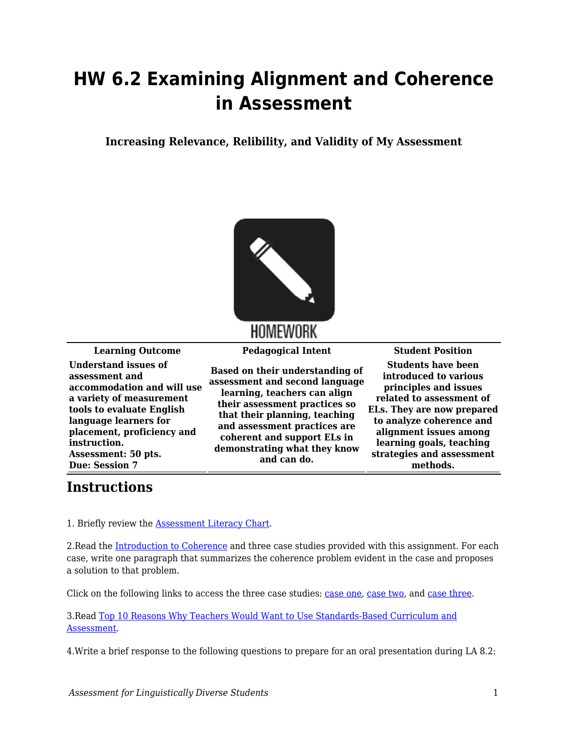## **HW 6.2 Examining Alignment and Coherence in Assessment**

**Increasing Relevance, Relibility, and Validity of My Assessment**



## HOMEWORK

**Understand issues of assessment and accommodation and will use a variety of measurement tools to evaluate English language learners for placement, proficiency and instruction. Assessment: 50 pts. Due: Session 7**

**Based on their understanding of assessment and second language learning, teachers can align their assessment practices so that their planning, teaching and assessment practices are coherent and support ELs in demonstrating what they know and can do.**

**Learning Outcome Pedagogical Intent Student Position Students have been introduced to various principles and issues related to assessment of ELs. They are now prepared to analyze coherence and alignment issues among learning goals, teaching strategies and assessment methods.**

## **Instructions**

1. Briefly review the [Assessment Literacy Chart.](https://byu.box.com/s/l0inz0wvg36b6li8rl9idb7pyirv1gh1)

2. Read the [Introduction to Coherence](https://byu.box.com/s/pwmdnfut66aopw7tet48to11tuty0e2s) and three case studies provided with this assignment. For each case, write one paragraph that summarizes the coherence problem evident in the case and proposes a solution to that problem.

Click on the following links to access the three case studies: [case one](https://byu.box.com/s/pxtpqmxzyog0c0v4yfjn6ubw330w902d), [case two,](https://byu.box.com/s/qlklso5sl7wecbow8aaq3dj7ocj5z8gf) and [case three.](https://byu.box.com/s/c786v4vnshhrwdzz767ajl9zd5izj429)

3.Read [Top 10 Reasons Why Teachers Would Want to Use Standards-Based Curriculum and](https://byu.box.com/s/xwvv3epl1mzfdj9549q54en2upyi0cp3) [Assessment.](https://byu.box.com/s/xwvv3epl1mzfdj9549q54en2upyi0cp3)

4.Write a brief response to the following questions to prepare for an oral presentation during LA 8.2: